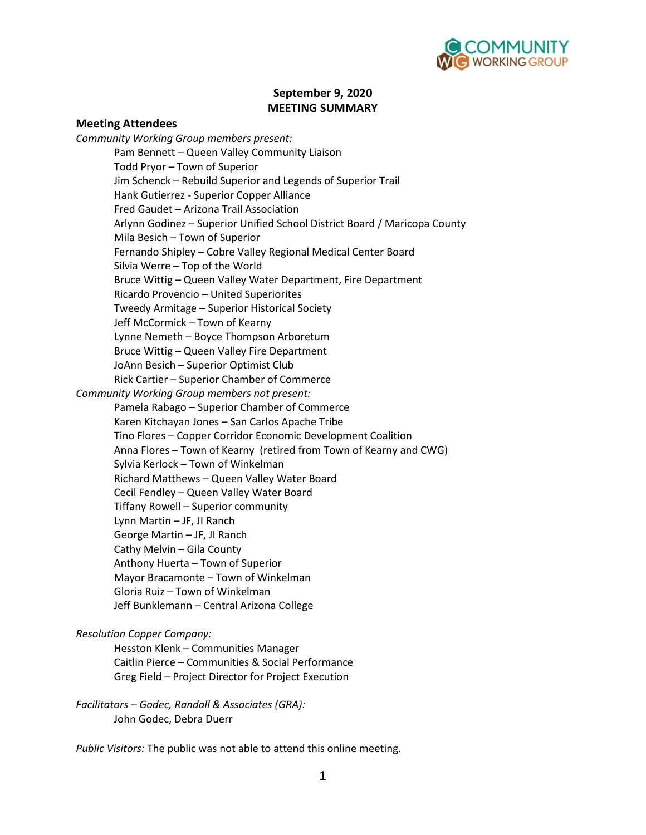

## **September 9, 2020 MEETING SUMMARY**

#### **Meeting Attendees**

*Community Working Group members present:* Pam Bennett – Queen Valley Community Liaison Todd Pryor – Town of Superior Jim Schenck – Rebuild Superior and Legends of Superior Trail Hank Gutierrez - Superior Copper Alliance Fred Gaudet – Arizona Trail Association Arlynn Godinez – Superior Unified School District Board / Maricopa County Mila Besich – Town of Superior Fernando Shipley – Cobre Valley Regional Medical Center Board Silvia Werre – Top of the World Bruce Wittig – Queen Valley Water Department, Fire Department Ricardo Provencio – United Superiorites Tweedy Armitage – Superior Historical Society Jeff McCormick – Town of Kearny Lynne Nemeth – Boyce Thompson Arboretum Bruce Wittig – Queen Valley Fire Department JoAnn Besich – Superior Optimist Club Rick Cartier – Superior Chamber of Commerce *Community Working Group members not present:* Pamela Rabago – Superior Chamber of Commerce Karen Kitchayan Jones – San Carlos Apache Tribe Tino Flores – Copper Corridor Economic Development Coalition Anna Flores – Town of Kearny (retired from Town of Kearny and CWG) Sylvia Kerlock – Town of Winkelman Richard Matthews – Queen Valley Water Board Cecil Fendley – Queen Valley Water Board Tiffany Rowell – Superior community Lynn Martin – JF, JI Ranch George Martin – JF, JI Ranch Cathy Melvin – Gila County Anthony Huerta – Town of Superior Mayor Bracamonte – Town of Winkelman Gloria Ruiz – Town of Winkelman Jeff Bunklemann – Central Arizona College

### *Resolution Copper Company:*

Hesston Klenk – Communities Manager Caitlin Pierce – Communities & Social Performance Greg Field – Project Director for Project Execution

*Facilitators – Godec, Randall & Associates (GRA):* John Godec, Debra Duerr

*Public Visitors:* The public was not able to attend this online meeting.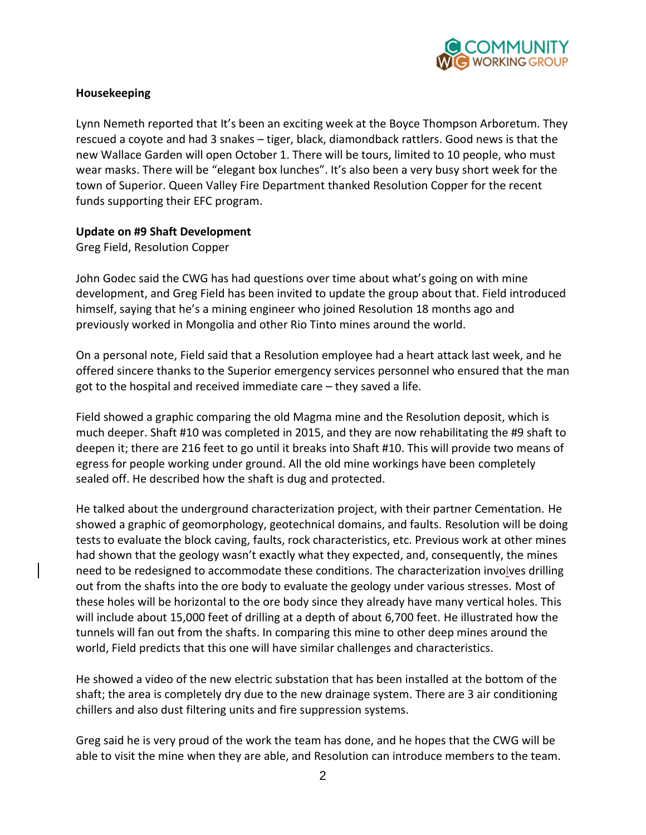

## **Housekeeping**

Lynn Nemeth reported that It's been an exciting week at the Boyce Thompson Arboretum. They rescued a coyote and had 3 snakes – tiger, black, diamondback rattlers. Good news is that the new Wallace Garden will open October 1. There will be tours, limited to 10 people, who must wear masks. There will be "elegant box lunches". It's also been a very busy short week for the town of Superior. Queen Valley Fire Department thanked Resolution Copper for the recent funds supporting their EFC program.

## **Update on #9 Shaft Development**

Greg Field, Resolution Copper

John Godec said the CWG has had questions over time about what's going on with mine development, and Greg Field has been invited to update the group about that. Field introduced himself, saying that he's a mining engineer who joined Resolution 18 months ago and previously worked in Mongolia and other Rio Tinto mines around the world.

On a personal note, Field said that a Resolution employee had a heart attack last week, and he offered sincere thanks to the Superior emergency services personnel who ensured that the man got to the hospital and received immediate care – they saved a life.

Field showed a graphic comparing the old Magma mine and the Resolution deposit, which is much deeper. Shaft #10 was completed in 2015, and they are now rehabilitating the #9 shaft to deepen it; there are 216 feet to go until it breaks into Shaft #10. This will provide two means of egress for people working under ground. All the old mine workings have been completely sealed off. He described how the shaft is dug and protected.

He talked about the underground characterization project, with their partner Cementation. He showed a graphic of geomorphology, geotechnical domains, and faults. Resolution will be doing tests to evaluate the block caving, faults, rock characteristics, etc. Previous work at other mines had shown that the geology wasn't exactly what they expected, and, consequently, the mines need to be redesigned to accommodate these conditions. The characterization involves drilling out from the shafts into the ore body to evaluate the geology under various stresses. Most of these holes will be horizontal to the ore body since they already have many vertical holes. This will include about 15,000 feet of drilling at a depth of about 6,700 feet. He illustrated how the tunnels will fan out from the shafts. In comparing this mine to other deep mines around the world, Field predicts that this one will have similar challenges and characteristics.

He showed a video of the new electric substation that has been installed at the bottom of the shaft; the area is completely dry due to the new drainage system. There are 3 air conditioning chillers and also dust filtering units and fire suppression systems.

Greg said he is very proud of the work the team has done, and he hopes that the CWG will be able to visit the mine when they are able, and Resolution can introduce members to the team.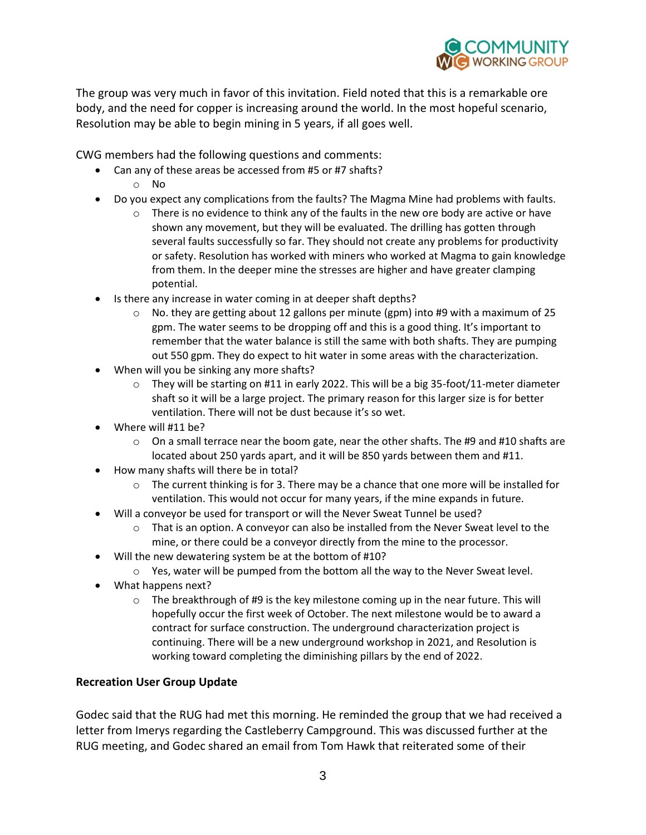

The group was very much in favor of this invitation. Field noted that this is a remarkable ore body, and the need for copper is increasing around the world. In the most hopeful scenario, Resolution may be able to begin mining in 5 years, if all goes well.

CWG members had the following questions and comments:

- Can any of these areas be accessed from #5 or #7 shafts?
	- o No
- Do you expect any complications from the faults? The Magma Mine had problems with faults.
	- $\circ$  There is no evidence to think any of the faults in the new ore body are active or have shown any movement, but they will be evaluated. The drilling has gotten through several faults successfully so far. They should not create any problems for productivity or safety. Resolution has worked with miners who worked at Magma to gain knowledge from them. In the deeper mine the stresses are higher and have greater clamping potential.
- Is there any increase in water coming in at deeper shaft depths?
	- $\circ$  No. they are getting about 12 gallons per minute (gpm) into #9 with a maximum of 25 gpm. The water seems to be dropping off and this is a good thing. It's important to remember that the water balance is still the same with both shafts. They are pumping out 550 gpm. They do expect to hit water in some areas with the characterization.
- When will you be sinking any more shafts?
	- $\circ$  They will be starting on #11 in early 2022. This will be a big 35-foot/11-meter diameter shaft so it will be a large project. The primary reason for this larger size is for better ventilation. There will not be dust because it's so wet.
- Where will #11 be?
	- $\circ$  On a small terrace near the boom gate, near the other shafts. The #9 and #10 shafts are located about 250 yards apart, and it will be 850 yards between them and #11.
- How many shafts will there be in total?
	- o The current thinking is for 3. There may be a chance that one more will be installed for ventilation. This would not occur for many years, if the mine expands in future.
- Will a conveyor be used for transport or will the Never Sweat Tunnel be used?
	- o That is an option. A conveyor can also be installed from the Never Sweat level to the mine, or there could be a conveyor directly from the mine to the processor.
- Will the new dewatering system be at the bottom of #10?
	- o Yes, water will be pumped from the bottom all the way to the Never Sweat level.
- What happens next?
	- $\circ$  The breakthrough of #9 is the key milestone coming up in the near future. This will hopefully occur the first week of October. The next milestone would be to award a contract for surface construction. The underground characterization project is continuing. There will be a new underground workshop in 2021, and Resolution is working toward completing the diminishing pillars by the end of 2022.

## **Recreation User Group Update**

Godec said that the RUG had met this morning. He reminded the group that we had received a letter from Imerys regarding the Castleberry Campground. This was discussed further at the RUG meeting, and Godec shared an email from Tom Hawk that reiterated some of their